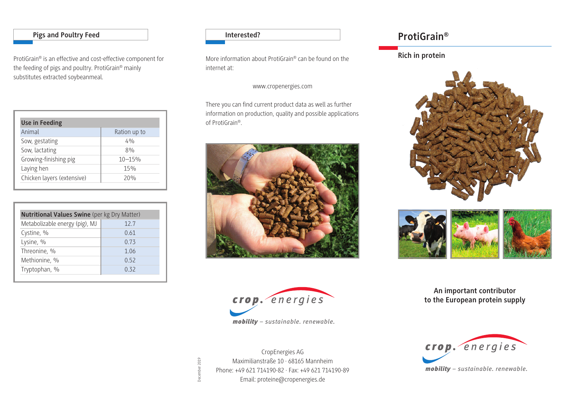### **Pigs and Poultry Feed**

ProtiGrain® is an effective and cost-effective component for the feeding of pigs and poultry. ProtiGrain® mainly substitutes extracted soybeanmeal.

| <b>Use in Feeding</b>      |              |  |  |
|----------------------------|--------------|--|--|
| Animal                     | Ration up to |  |  |
| Sow, gestating             | 4%           |  |  |
| Sow, lactating             | 8%           |  |  |
| Growing-finishing pig      | $10 - 15%$   |  |  |
| Laying hen                 | 15%          |  |  |
| Chicken layers (extensive) | 20%          |  |  |

| <b>Nutritional Values Swine</b> (per kg Dry Matter) |      |  |  |
|-----------------------------------------------------|------|--|--|
| Metabolizable energy (pig), MJ                      | 12.7 |  |  |
| Cystine, %                                          | 0.61 |  |  |
| Lysine, %                                           | 0.73 |  |  |
| Threonine, %                                        | 1.06 |  |  |
| Methionine, %                                       | 0.52 |  |  |
| Tryptophan, %                                       | 0.32 |  |  |

**Interested?**

More information about ProtiGrain® can be found on the internet at:

www.cropenergies.com

There you can find current product data as well as further information on production, quality and possible applications of ProtiGrain®.





CropEnergies AG Maximilianstraße 10 · 68165 Mannheim Phone: +49 621 714190-82 · Fax: +49 621 714190-89 Email: proteine@cropenergies.de

December 2019

December 2019

# **ProtiGrain®**

## **Rich in protein**





**An important contributor to the European protein supply**



*mobility – sustainable. renewable.*